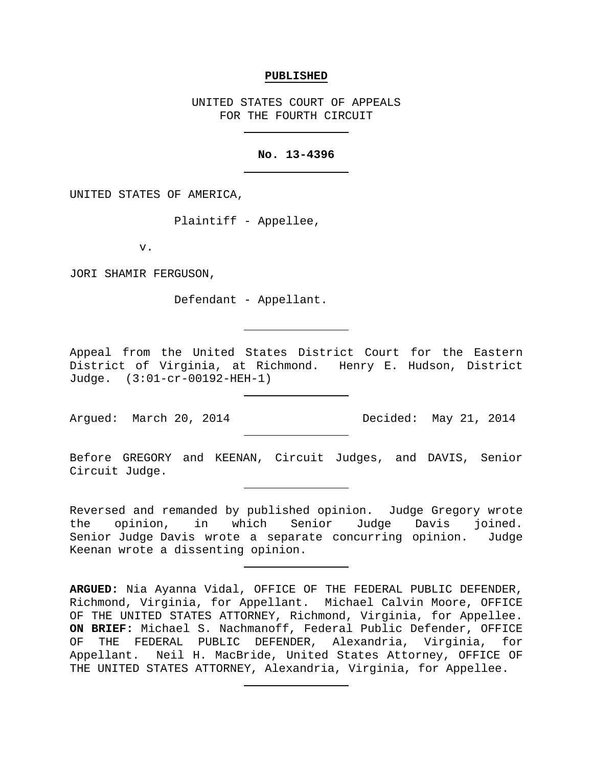#### **PUBLISHED**

UNITED STATES COURT OF APPEALS FOR THE FOURTH CIRCUIT

### **No. 13-4396**

UNITED STATES OF AMERICA,

Plaintiff - Appellee,

v.

JORI SHAMIR FERGUSON,

Defendant - Appellant.

Appeal from the United States District Court for the Eastern District of Virginia, at Richmond. Henry E. Hudson, District Judge. (3:01-cr-00192-HEH-1)

Argued: March 20, 2014 Decided: May 21, 2014

Before GREGORY and KEENAN, Circuit Judges, and DAVIS, Senior Circuit Judge.

Reversed and remanded by published opinion. Judge Gregory wrote the opinion, in which Senior Judge Davis joined. Senior Judge Davis wrote a separate concurring opinion. Judge Keenan wrote a dissenting opinion.

**ARGUED:** Nia Ayanna Vidal, OFFICE OF THE FEDERAL PUBLIC DEFENDER, Richmond, Virginia, for Appellant. Michael Calvin Moore, OFFICE OF THE UNITED STATES ATTORNEY, Richmond, Virginia, for Appellee. **ON BRIEF:** Michael S. Nachmanoff, Federal Public Defender, OFFICE OF THE FEDERAL PUBLIC DEFENDER, Alexandria, Virginia, for Appellant. Neil H. MacBride, United States Attorney, OFFICE OF THE UNITED STATES ATTORNEY, Alexandria, Virginia, for Appellee.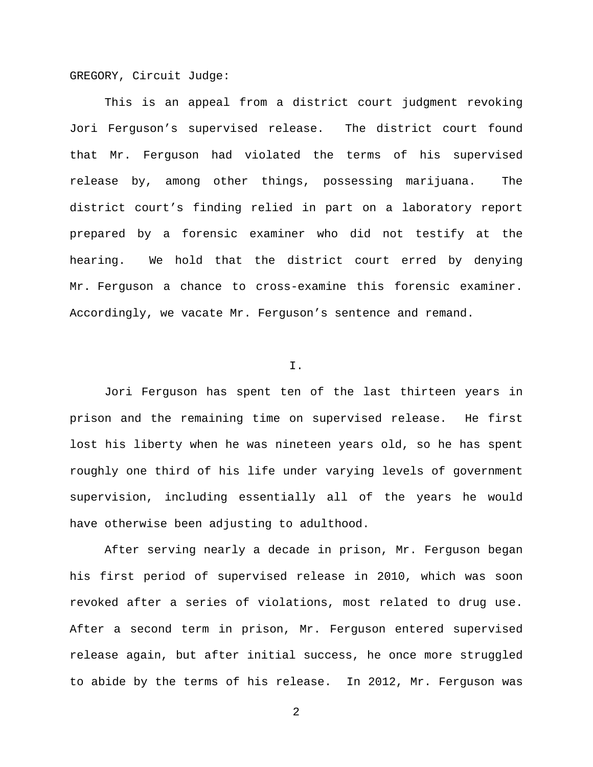GREGORY, Circuit Judge:

This is an appeal from a district court judgment revoking Jori Ferguson's supervised release. The district court found that Mr. Ferguson had violated the terms of his supervised release by, among other things, possessing marijuana. The district court's finding relied in part on a laboratory report prepared by a forensic examiner who did not testify at the hearing. We hold that the district court erred by denying Mr. Ferguson a chance to cross-examine this forensic examiner. Accordingly, we vacate Mr. Ferguson's sentence and remand.

### I.

Jori Ferguson has spent ten of the last thirteen years in prison and the remaining time on supervised release. He first lost his liberty when he was nineteen years old, so he has spent roughly one third of his life under varying levels of government supervision, including essentially all of the years he would have otherwise been adjusting to adulthood.

After serving nearly a decade in prison, Mr. Ferguson began his first period of supervised release in 2010, which was soon revoked after a series of violations, most related to drug use. After a second term in prison, Mr. Ferguson entered supervised release again, but after initial success, he once more struggled to abide by the terms of his release. In 2012, Mr. Ferguson was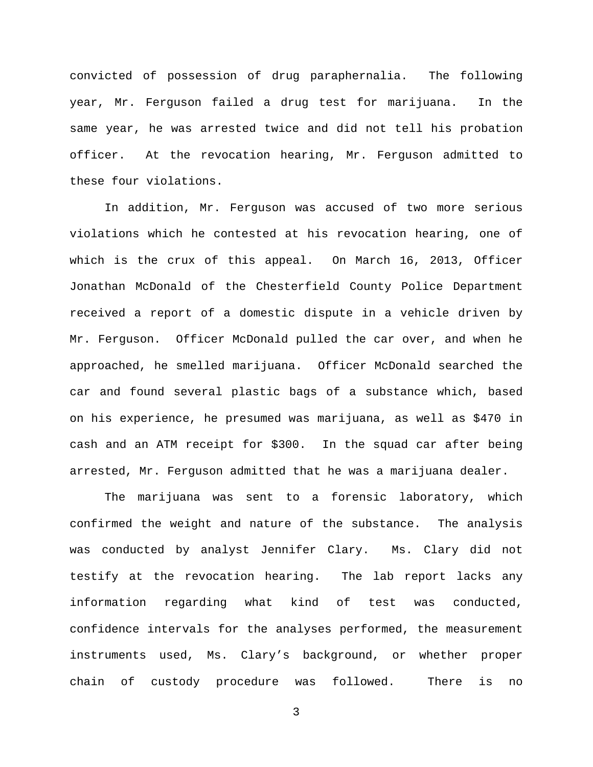convicted of possession of drug paraphernalia. The following year, Mr. Ferguson failed a drug test for marijuana. In the same year, he was arrested twice and did not tell his probation officer. At the revocation hearing, Mr. Ferguson admitted to these four violations.

In addition, Mr. Ferguson was accused of two more serious violations which he contested at his revocation hearing, one of which is the crux of this appeal. On March 16, 2013, Officer Jonathan McDonald of the Chesterfield County Police Department received a report of a domestic dispute in a vehicle driven by Mr. Ferguson. Officer McDonald pulled the car over, and when he approached, he smelled marijuana. Officer McDonald searched the car and found several plastic bags of a substance which, based on his experience, he presumed was marijuana, as well as \$470 in cash and an ATM receipt for \$300. In the squad car after being arrested, Mr. Ferguson admitted that he was a marijuana dealer.

The marijuana was sent to a forensic laboratory, which confirmed the weight and nature of the substance. The analysis was conducted by analyst Jennifer Clary. Ms. Clary did not testify at the revocation hearing. The lab report lacks any information regarding what kind of test was conducted, confidence intervals for the analyses performed, the measurement instruments used, Ms. Clary's background, or whether proper chain of custody procedure was followed. There is no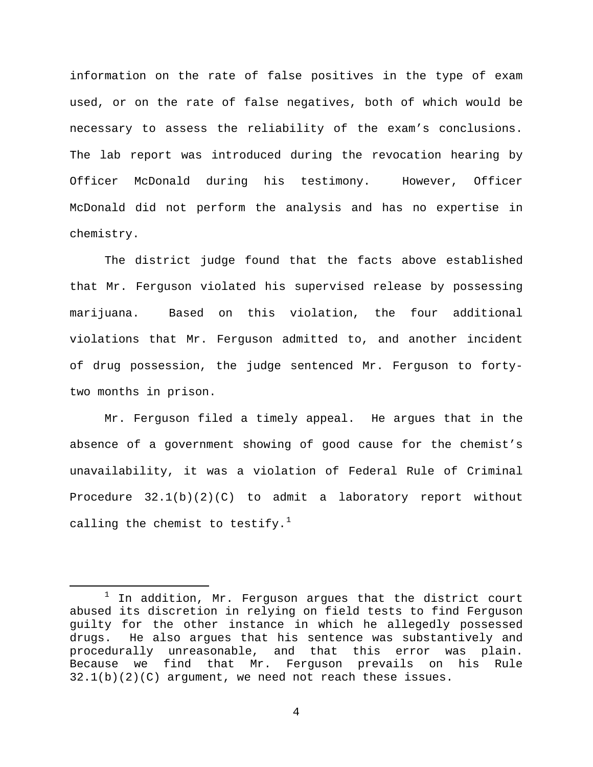information on the rate of false positives in the type of exam used, or on the rate of false negatives, both of which would be necessary to assess the reliability of the exam's conclusions. The lab report was introduced during the revocation hearing by Officer McDonald during his testimony. However, Officer McDonald did not perform the analysis and has no expertise in chemistry.

The district judge found that the facts above established that Mr. Ferguson violated his supervised release by possessing marijuana. Based on this violation, the four additional violations that Mr. Ferguson admitted to, and another incident of drug possession, the judge sentenced Mr. Ferguson to fortytwo months in prison.

Mr. Ferguson filed a timely appeal. He argues that in the absence of a government showing of good cause for the chemist's unavailability, it was a violation of Federal Rule of Criminal Procedure 32.1(b)(2)(C) to admit a laboratory report without calling the chemist to testify.<sup>[1](#page-3-0)</sup>

<span id="page-3-0"></span> $1$  In addition, Mr. Ferguson argues that the district court abused its discretion in relying on field tests to find Ferguson guilty for the other instance in which he allegedly possessed<br>drugs. He also arques that his sentence was substantively and He also argues that his sentence was substantively and procedurally unreasonable, and that this error was plain.<br>Because we find that Mr. Ferquson prevails on his Rule Because we find that Mr. Ferguson prevails on his Rule  $32.1(b)(2)(C)$  argument, we need not reach these issues.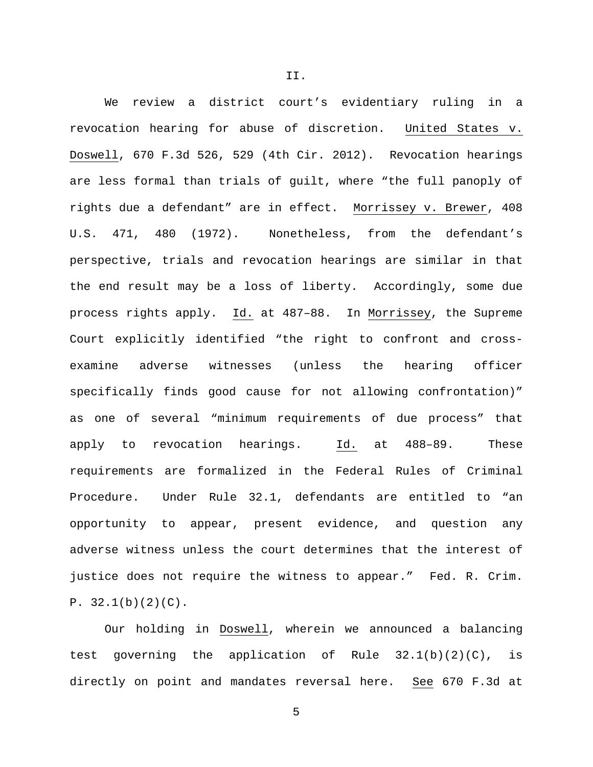We review a district court's evidentiary ruling in a revocation hearing for abuse of discretion. United States v. Doswell, 670 F.3d 526, 529 (4th Cir. 2012). Revocation hearings are less formal than trials of guilt, where "the full panoply of rights due a defendant" are in effect. Morrissey v. Brewer, 408 U.S. 471, 480 (1972). Nonetheless, from the defendant's perspective, trials and revocation hearings are similar in that the end result may be a loss of liberty. Accordingly, some due process rights apply. Id. at 487–88. In Morrissey, the Supreme Court explicitly identified "the right to confront and crossexamine adverse witnesses (unless the hearing officer specifically finds good cause for not allowing confrontation)" as one of several "minimum requirements of due process" that apply to revocation hearings. Id. at 488–89. These requirements are formalized in the Federal Rules of Criminal Procedure. Under Rule 32.1, defendants are entitled to "an opportunity to appear, present evidence, and question any adverse witness unless the court determines that the interest of justice does not require the witness to appear." Fed. R. Crim.  $P. 32.1(b)(2)(C)$ .

Our holding in Doswell, wherein we announced a balancing test governing the application of Rule 32.1(b)(2)(C), is directly on point and mandates reversal here. See 670 F.3d at

5

II.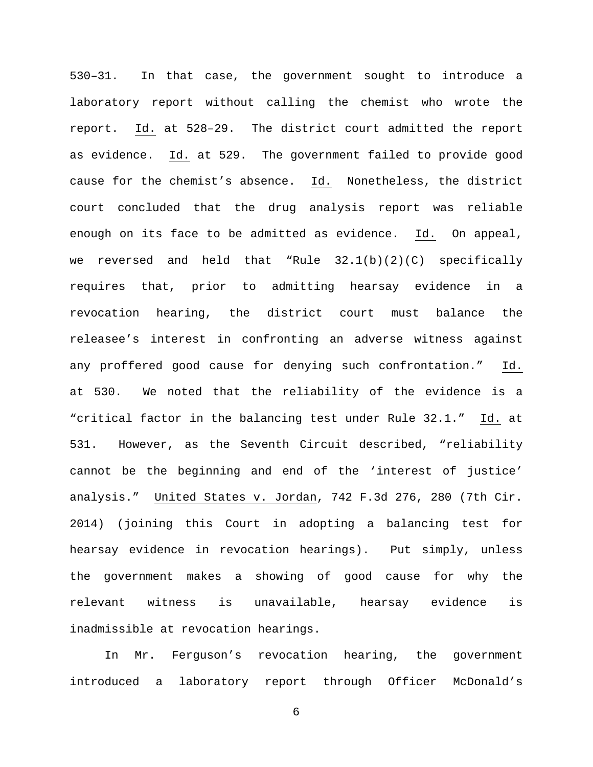530–31. In that case, the government sought to introduce a laboratory report without calling the chemist who wrote the report. Id. at 528–29. The district court admitted the report as evidence. Id. at 529. The government failed to provide good cause for the chemist's absence. Id. Nonetheless, the district court concluded that the drug analysis report was reliable enough on its face to be admitted as evidence. Id. On appeal, we reversed and held that "Rule 32.1(b)(2)(C) specifically requires that, prior to admitting hearsay evidence in a revocation hearing, the district court must balance the releasee's interest in confronting an adverse witness against any proffered good cause for denying such confrontation." Id. at 530. We noted that the reliability of the evidence is a "critical factor in the balancing test under Rule 32.1." Id. at 531. However, as the Seventh Circuit described, "reliability cannot be the beginning and end of the 'interest of justice' analysis." United States v. Jordan, 742 F.3d 276, 280 (7th Cir. 2014) (joining this Court in adopting a balancing test for hearsay evidence in revocation hearings). Put simply, unless the government makes a showing of good cause for why the relevant witness is unavailable, hearsay evidence is inadmissible at revocation hearings.

In Mr. Ferguson's revocation hearing, the government introduced a laboratory report through Officer McDonald's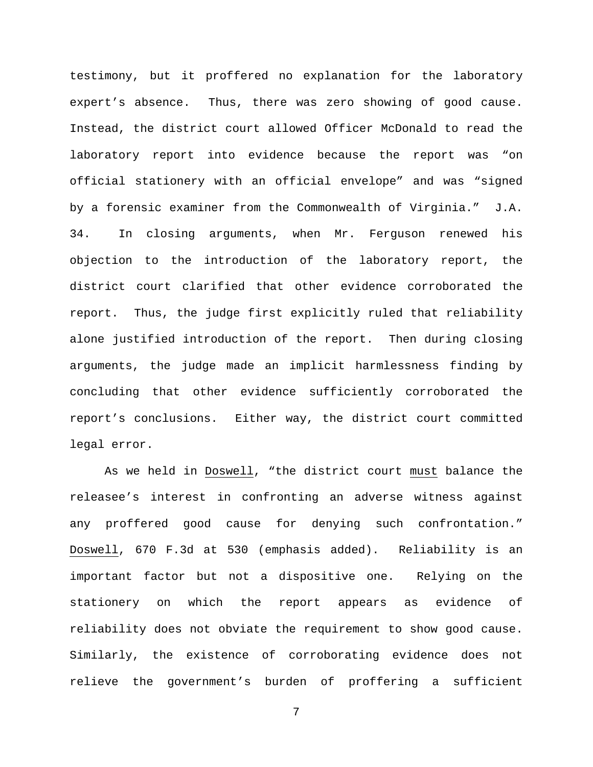testimony, but it proffered no explanation for the laboratory expert's absence. Thus, there was zero showing of good cause. Instead, the district court allowed Officer McDonald to read the laboratory report into evidence because the report was "on official stationery with an official envelope" and was "signed by a forensic examiner from the Commonwealth of Virginia." J.A. 34. In closing arguments, when Mr. Ferguson renewed his objection to the introduction of the laboratory report, the district court clarified that other evidence corroborated the report. Thus, the judge first explicitly ruled that reliability alone justified introduction of the report. Then during closing arguments, the judge made an implicit harmlessness finding by concluding that other evidence sufficiently corroborated the report's conclusions. Either way, the district court committed legal error.

As we held in Doswell, "the district court must balance the releasee's interest in confronting an adverse witness against any proffered good cause for denying such confrontation." Doswell, 670 F.3d at 530 (emphasis added). Reliability is an important factor but not a dispositive one. Relying on the stationery on which the report appears as evidence of reliability does not obviate the requirement to show good cause. Similarly, the existence of corroborating evidence does not relieve the government's burden of proffering a sufficient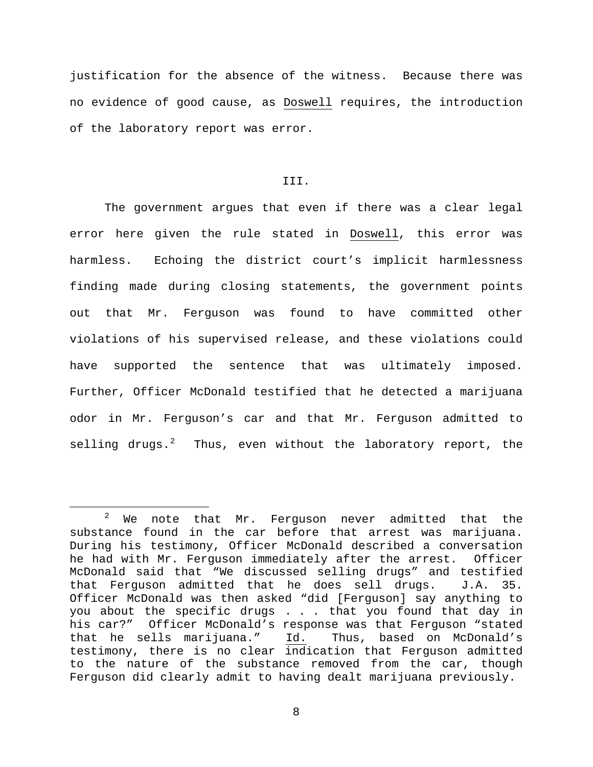justification for the absence of the witness. Because there was no evidence of good cause, as Doswell requires, the introduction of the laboratory report was error.

# III.

The government argues that even if there was a clear legal error here given the rule stated in Doswell, this error was harmless. Echoing the district court's implicit harmlessness finding made during closing statements, the government points out that Mr. Ferguson was found to have committed other violations of his supervised release, and these violations could have supported the sentence that was ultimately imposed. Further, Officer McDonald testified that he detected a marijuana odor in Mr. Ferguson's car and that Mr. Ferguson admitted to selling drugs.<sup>[2](#page-7-0)</sup> Thus, even without the laboratory report, the

<span id="page-7-0"></span><sup>&</sup>lt;sup>2</sup> We note that Mr. Ferguson never admitted that the substance found in the car before that arrest was marijuana. During his testimony, Officer McDonald described a conversation he had with Mr. Ferguson immediately after the arrest. Officer McDonald said that "We discussed selling drugs" and testified<br>that Ferguson admitted that he does sell drugs. J.A. 35. that Ferguson admitted that he does sell drugs. Officer McDonald was then asked "did [Ferguson] say anything to you about the specific drugs . . . that you found that day in his car?" Officer McDonald's response was that Ferguson "stated<br>that he sells marijuana." Id. Thus, based on McDonald's that he sells marijuana." Id. testimony, there is no clear indication that Ferguson admitted to the nature of the substance removed from the car, though Ferguson did clearly admit to having dealt marijuana previously.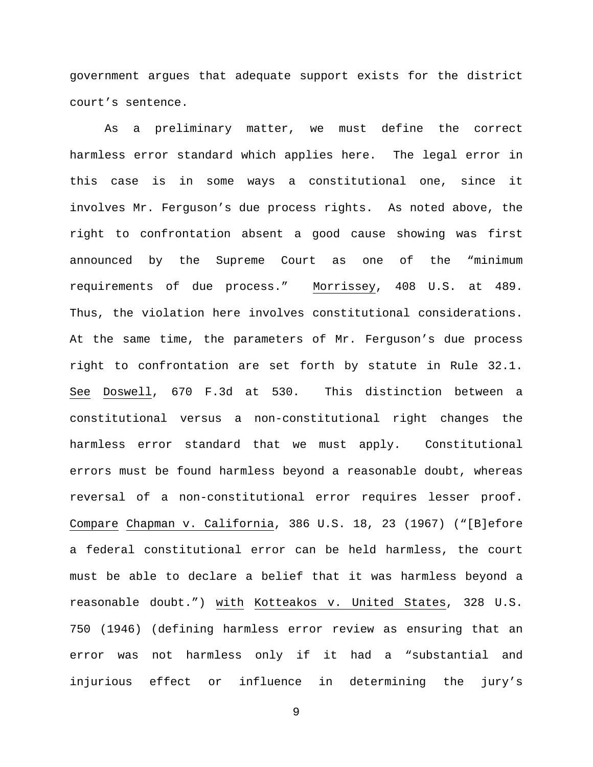government argues that adequate support exists for the district court's sentence.

As a preliminary matter, we must define the correct harmless error standard which applies here. The legal error in this case is in some ways a constitutional one, since it involves Mr. Ferguson's due process rights. As noted above, the right to confrontation absent a good cause showing was first announced by the Supreme Court as one of the "minimum requirements of due process." Morrissey, 408 U.S. at 489. Thus, the violation here involves constitutional considerations. At the same time, the parameters of Mr. Ferguson's due process right to confrontation are set forth by statute in Rule 32.1. See Doswell, 670 F.3d at 530. This distinction between a constitutional versus a non-constitutional right changes the harmless error standard that we must apply. Constitutional errors must be found harmless beyond a reasonable doubt, whereas reversal of a non-constitutional error requires lesser proof. Compare Chapman v. California, 386 U.S. 18, 23 (1967) ("[B]efore a federal constitutional error can be held harmless, the court must be able to declare a belief that it was harmless beyond a reasonable doubt.") with Kotteakos v. United States, 328 U.S. 750 (1946) (defining harmless error review as ensuring that an error was not harmless only if it had a "substantial and injurious effect or influence in determining the jury's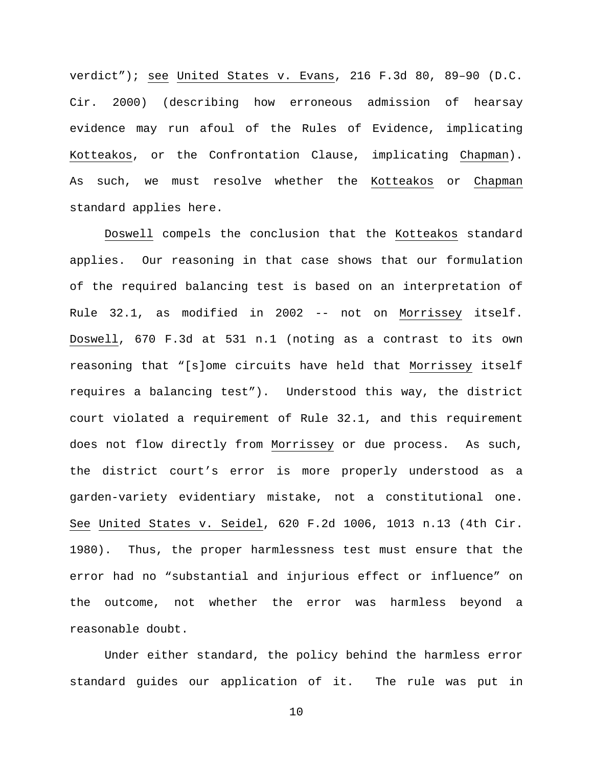verdict"); see United States v. Evans, 216 F.3d 80, 89–90 (D.C. Cir. 2000) (describing how erroneous admission of hearsay evidence may run afoul of the Rules of Evidence, implicating Kotteakos, or the Confrontation Clause, implicating Chapman). As such, we must resolve whether the Kotteakos or Chapman standard applies here.

Doswell compels the conclusion that the Kotteakos standard applies. Our reasoning in that case shows that our formulation of the required balancing test is based on an interpretation of Rule 32.1, as modified in 2002 -- not on Morrissey itself. Doswell, 670 F.3d at 531 n.1 (noting as a contrast to its own reasoning that "[s]ome circuits have held that Morrissey itself requires a balancing test"). Understood this way, the district court violated a requirement of Rule 32.1, and this requirement does not flow directly from Morrissey or due process. As such, the district court's error is more properly understood as a garden-variety evidentiary mistake, not a constitutional one. See United States v. Seidel, 620 F.2d 1006, 1013 n.13 (4th Cir. 1980). Thus, the proper harmlessness test must ensure that the error had no "substantial and injurious effect or influence" on the outcome, not whether the error was harmless beyond a reasonable doubt.

Under either standard, the policy behind the harmless error standard guides our application of it. The rule was put in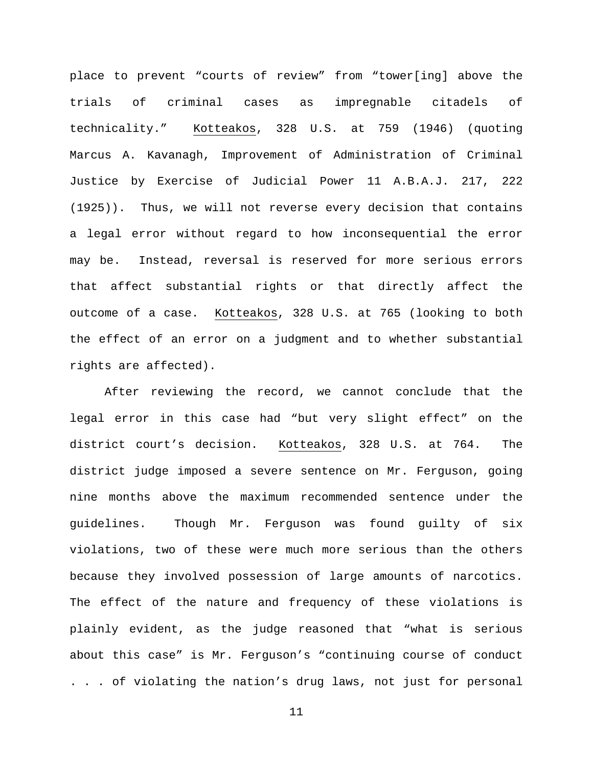place to prevent "courts of review" from "tower[ing] above the trials of criminal cases as impregnable citadels of technicality." Kotteakos, 328 U.S. at 759 (1946) (quoting Marcus A. Kavanagh, Improvement of Administration of Criminal Justice by Exercise of Judicial Power 11 A.B.A.J. 217, 222 (1925)). Thus, we will not reverse every decision that contains a legal error without regard to how inconsequential the error may be. Instead, reversal is reserved for more serious errors that affect substantial rights or that directly affect the outcome of a case. Kotteakos, 328 U.S. at 765 (looking to both the effect of an error on a judgment and to whether substantial rights are affected).

After reviewing the record, we cannot conclude that the legal error in this case had "but very slight effect" on the district court's decision. Kotteakos, 328 U.S. at 764. The district judge imposed a severe sentence on Mr. Ferguson, going nine months above the maximum recommended sentence under the guidelines. Though Mr. Ferguson was found guilty of six violations, two of these were much more serious than the others because they involved possession of large amounts of narcotics. The effect of the nature and frequency of these violations is plainly evident, as the judge reasoned that "what is serious about this case" is Mr. Ferguson's "continuing course of conduct . . . of violating the nation's drug laws, not just for personal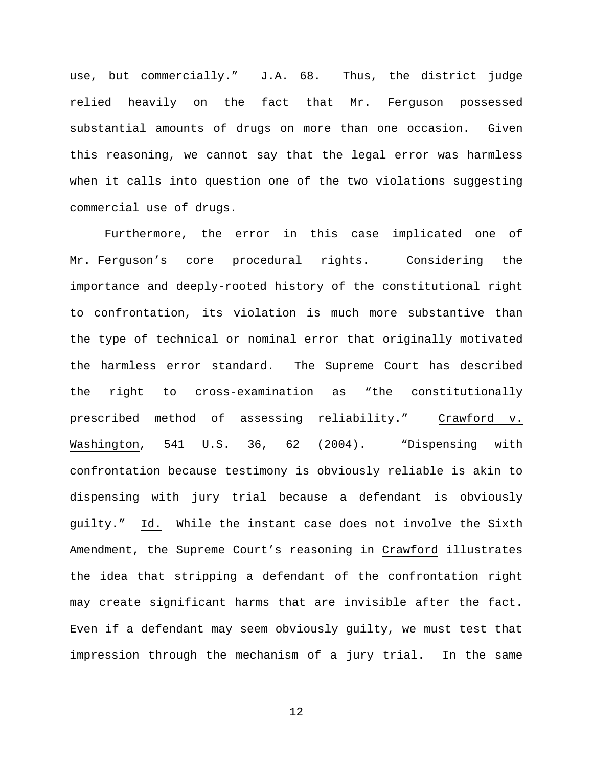use, but commercially." J.A. 68. Thus, the district judge relied heavily on the fact that Mr. Ferguson possessed substantial amounts of drugs on more than one occasion. Given this reasoning, we cannot say that the legal error was harmless when it calls into question one of the two violations suggesting commercial use of drugs.

Furthermore, the error in this case implicated one of Mr. Ferguson's core procedural rights. Considering the importance and deeply-rooted history of the constitutional right to confrontation, its violation is much more substantive than the type of technical or nominal error that originally motivated the harmless error standard. The Supreme Court has described the right to cross-examination as "the constitutionally prescribed method of assessing reliability." Crawford v. Washington, 541 U.S. 36, 62 (2004). "Dispensing with confrontation because testimony is obviously reliable is akin to dispensing with jury trial because a defendant is obviously guilty." Id. While the instant case does not involve the Sixth Amendment, the Supreme Court's reasoning in Crawford illustrates the idea that stripping a defendant of the confrontation right may create significant harms that are invisible after the fact. Even if a defendant may seem obviously guilty, we must test that impression through the mechanism of a jury trial. In the same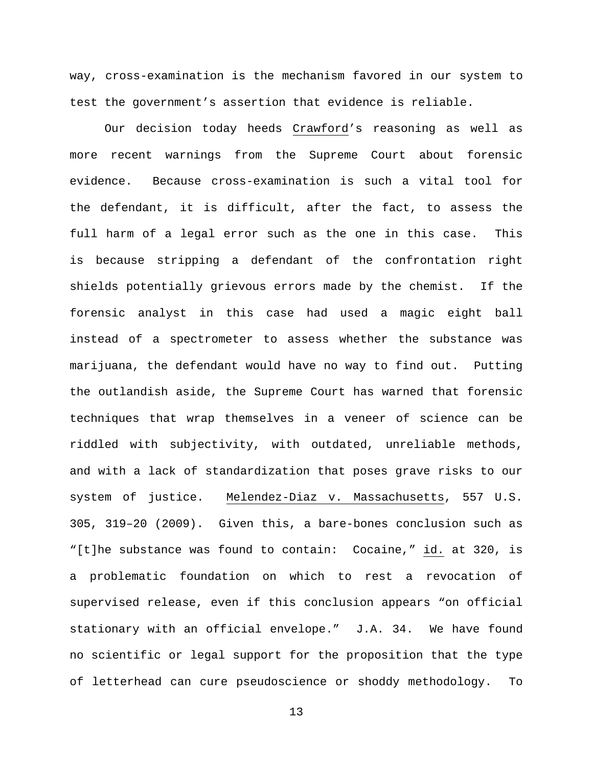way, cross-examination is the mechanism favored in our system to test the government's assertion that evidence is reliable.

Our decision today heeds Crawford's reasoning as well as more recent warnings from the Supreme Court about forensic evidence. Because cross-examination is such a vital tool for the defendant, it is difficult, after the fact, to assess the full harm of a legal error such as the one in this case. This is because stripping a defendant of the confrontation right shields potentially grievous errors made by the chemist. If the forensic analyst in this case had used a magic eight ball instead of a spectrometer to assess whether the substance was marijuana, the defendant would have no way to find out. Putting the outlandish aside, the Supreme Court has warned that forensic techniques that wrap themselves in a veneer of science can be riddled with subjectivity, with outdated, unreliable methods, and with a lack of standardization that poses grave risks to our system of justice. Melendez-Diaz v. Massachusetts, 557 U.S. 305, 319–20 (2009). Given this, a bare-bones conclusion such as "[t]he substance was found to contain: Cocaine," id. at 320, is a problematic foundation on which to rest a revocation of supervised release, even if this conclusion appears "on official stationary with an official envelope." J.A. 34. We have found no scientific or legal support for the proposition that the type of letterhead can cure pseudoscience or shoddy methodology. To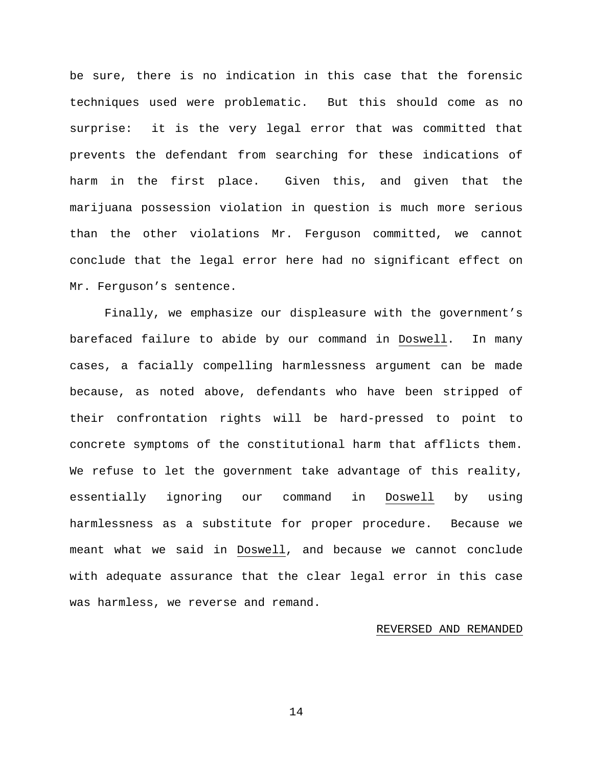be sure, there is no indication in this case that the forensic techniques used were problematic. But this should come as no surprise: it is the very legal error that was committed that prevents the defendant from searching for these indications of harm in the first place. Given this, and given that the marijuana possession violation in question is much more serious than the other violations Mr. Ferguson committed, we cannot conclude that the legal error here had no significant effect on Mr. Ferguson's sentence.

Finally, we emphasize our displeasure with the government's barefaced failure to abide by our command in Doswell. In many cases, a facially compelling harmlessness argument can be made because, as noted above, defendants who have been stripped of their confrontation rights will be hard-pressed to point to concrete symptoms of the constitutional harm that afflicts them. We refuse to let the government take advantage of this reality, essentially ignoring our command in Doswell by using harmlessness as a substitute for proper procedure. Because we meant what we said in Doswell, and because we cannot conclude with adequate assurance that the clear legal error in this case was harmless, we reverse and remand.

# REVERSED AND REMANDED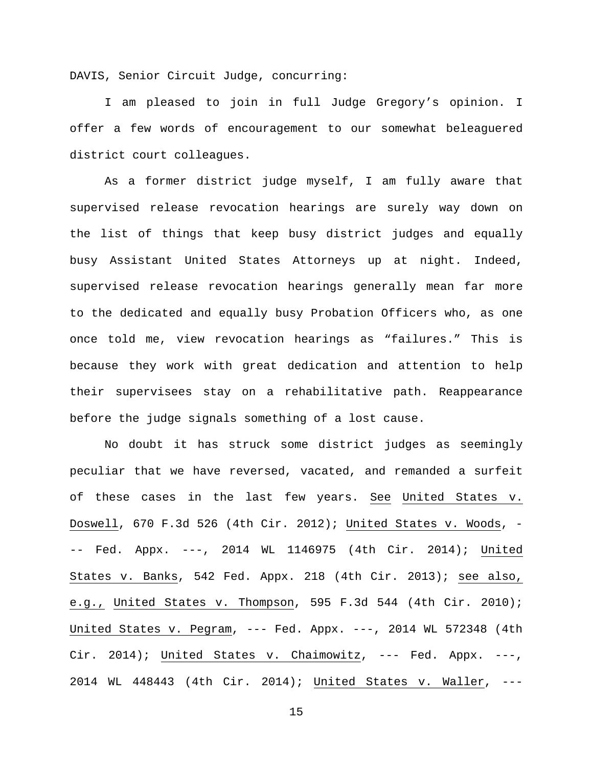DAVIS, Senior Circuit Judge, concurring:

I am pleased to join in full Judge Gregory's opinion. I offer a few words of encouragement to our somewhat beleaguered district court colleagues.

As a former district judge myself, I am fully aware that supervised release revocation hearings are surely way down on the list of things that keep busy district judges and equally busy Assistant United States Attorneys up at night. Indeed, supervised release revocation hearings generally mean far more to the dedicated and equally busy Probation Officers who, as one once told me, view revocation hearings as "failures." This is because they work with great dedication and attention to help their supervisees stay on a rehabilitative path. Reappearance before the judge signals something of a lost cause.

No doubt it has struck some district judges as seemingly peculiar that we have reversed, vacated, and remanded a surfeit of these cases in the last few years. See United States v. Doswell, 670 F.3d 526 (4th Cir. 2012); United States v. Woods, - -- Fed. Appx. ---, 2014 WL 1146975 (4th Cir. 2014); United States v. Banks, 542 Fed. Appx. 218 (4th Cir. 2013); see also, e.g., United States v. Thompson, 595 F.3d 544 (4th Cir. 2010); United States v. Pegram, --- Fed. Appx. ---, 2014 WL 572348 (4th Cir. 2014); United States v. Chaimowitz, --- Fed. Appx. ---, 2014 WL 448443 (4th Cir. 2014); United States v. Waller, ---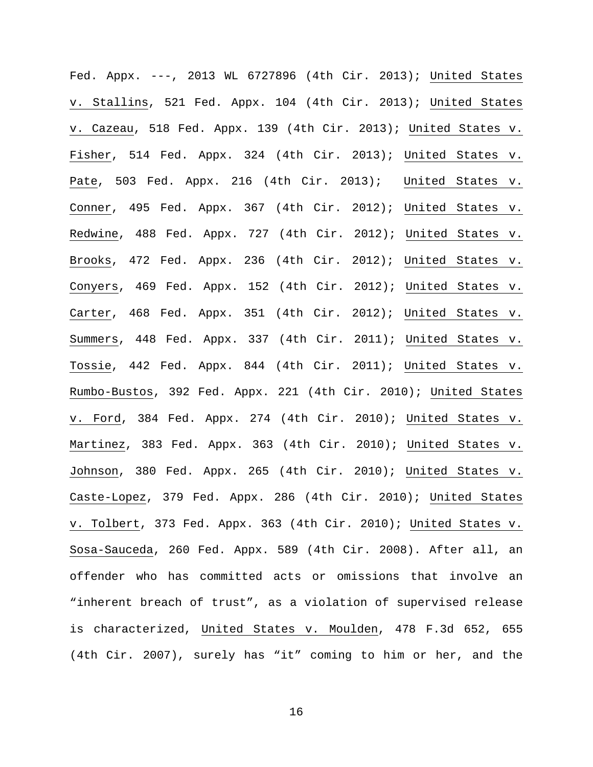Fed. Appx. ---, 2013 WL 6727896 (4th Cir. 2013); United States v. Stallins, 521 Fed. Appx. 104 (4th Cir. 2013); United States v. Cazeau, 518 Fed. Appx. 139 (4th Cir. 2013); United States v. Fisher, 514 Fed. Appx. 324 (4th Cir. 2013); United States v. Pate, 503 Fed. Appx. 216 (4th Cir. 2013); United States v. Conner, 495 Fed. Appx. 367 (4th Cir. 2012); United States v. Redwine, 488 Fed. Appx. 727 (4th Cir. 2012); United States v. Brooks, 472 Fed. Appx. 236 (4th Cir. 2012); United States v. Conyers, 469 Fed. Appx. 152 (4th Cir. 2012); United States v. Carter, 468 Fed. Appx. 351 (4th Cir. 2012); United States v. Summers, 448 Fed. Appx. 337 (4th Cir. 2011); United States v. Tossie, 442 Fed. Appx. 844 (4th Cir. 2011); United States v. Rumbo-Bustos, 392 Fed. Appx. 221 (4th Cir. 2010); United States v. Ford, 384 Fed. Appx. 274 (4th Cir. 2010); United States v. Martinez, 383 Fed. Appx. 363 (4th Cir. 2010); United States v. Johnson, 380 Fed. Appx. 265 (4th Cir. 2010); United States v. Caste-Lopez, 379 Fed. Appx. 286 (4th Cir. 2010); United States v. Tolbert, 373 Fed. Appx. 363 (4th Cir. 2010); United States v. Sosa-Sauceda, 260 Fed. Appx. 589 (4th Cir. 2008). After all, an offender who has committed acts or omissions that involve an "inherent breach of trust", as a violation of supervised release is characterized, United States v. Moulden, 478 F.3d 652, 655 (4th Cir. 2007), surely has "it" coming to him or her, and the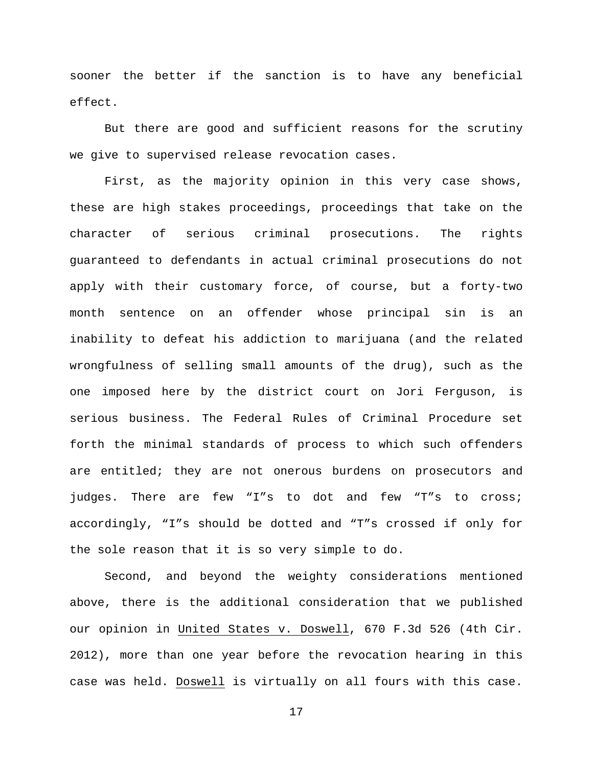sooner the better if the sanction is to have any beneficial effect.

But there are good and sufficient reasons for the scrutiny we give to supervised release revocation cases.

First, as the majority opinion in this very case shows, these are high stakes proceedings, proceedings that take on the character of serious criminal prosecutions. The rights guaranteed to defendants in actual criminal prosecutions do not apply with their customary force, of course, but a forty-two month sentence on an offender whose principal sin is an inability to defeat his addiction to marijuana (and the related wrongfulness of selling small amounts of the drug), such as the one imposed here by the district court on Jori Ferguson, is serious business. The Federal Rules of Criminal Procedure set forth the minimal standards of process to which such offenders are entitled; they are not onerous burdens on prosecutors and judges. There are few "I"s to dot and few "T"s to cross; accordingly, "I"s should be dotted and "T"s crossed if only for the sole reason that it is so very simple to do.

Second, and beyond the weighty considerations mentioned above, there is the additional consideration that we published our opinion in United States v. Doswell, 670 F.3d 526 (4th Cir. 2012), more than one year before the revocation hearing in this case was held. Doswell is virtually on all fours with this case.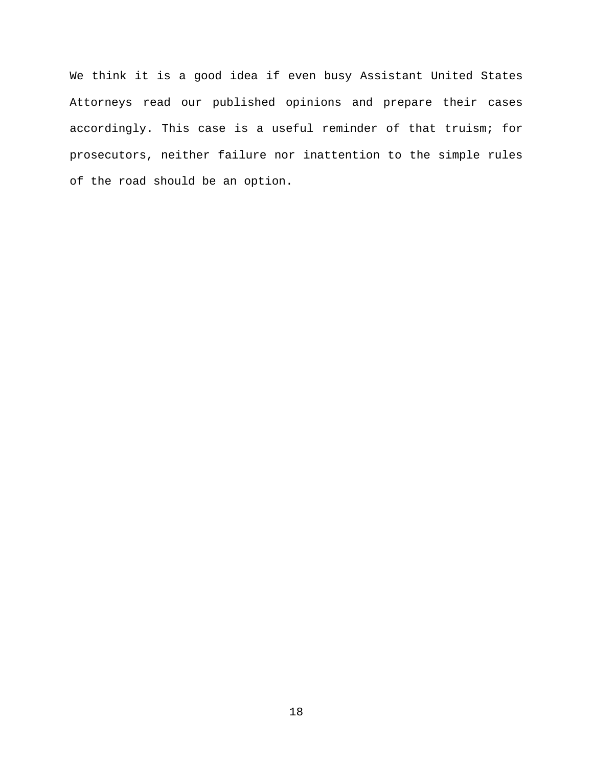We think it is a good idea if even busy Assistant United States Attorneys read our published opinions and prepare their cases accordingly. This case is a useful reminder of that truism; for prosecutors, neither failure nor inattention to the simple rules of the road should be an option.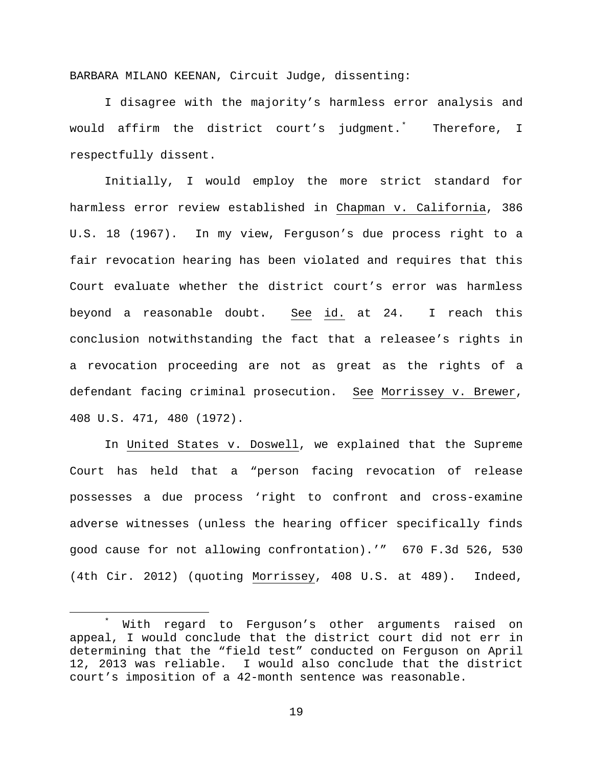BARBARA MILANO KEENAN, Circuit Judge, dissenting:

I disagree with the majority's harmless error analysis and would affirm the district court's judgment.[\\*](#page-18-0) Therefore, I respectfully dissent.

Initially, I would employ the more strict standard for harmless error review established in Chapman v. California, 386 U.S. 18 (1967). In my view, Ferguson's due process right to a fair revocation hearing has been violated and requires that this Court evaluate whether the district court's error was harmless beyond a reasonable doubt. See id. at 24. I reach this conclusion notwithstanding the fact that a releasee's rights in a revocation proceeding are not as great as the rights of a defendant facing criminal prosecution. See Morrissey v. Brewer, 408 U.S. 471, 480 (1972).

In United States v. Doswell, we explained that the Supreme Court has held that a "person facing revocation of release possesses a due process 'right to confront and cross-examine adverse witnesses (unless the hearing officer specifically finds good cause for not allowing confrontation).'" 670 F.3d 526, 530 (4th Cir. 2012) (quoting Morrissey, 408 U.S. at 489). Indeed,

<span id="page-18-0"></span> <sup>\*</sup> With regard to Ferguson's other arguments raised on appeal, I would conclude that the district court did not err in determining that the "field test" conducted on Ferguson on April 12, 2013 was reliable. I would also conclude that the district court's imposition of a 42-month sentence was reasonable.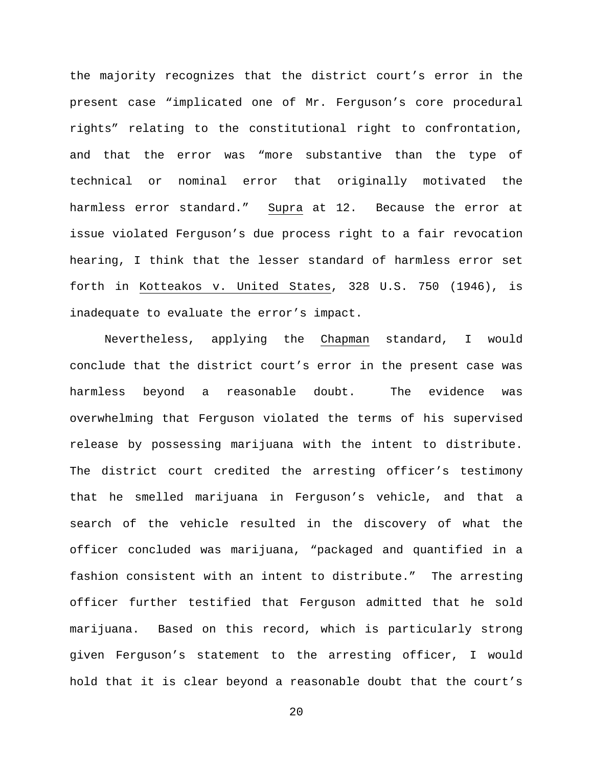the majority recognizes that the district court's error in the present case "implicated one of Mr. Ferguson's core procedural rights" relating to the constitutional right to confrontation, and that the error was "more substantive than the type of technical or nominal error that originally motivated the harmless error standard." Supra at 12. Because the error at issue violated Ferguson's due process right to a fair revocation hearing, I think that the lesser standard of harmless error set forth in Kotteakos v. United States, 328 U.S. 750 (1946), is inadequate to evaluate the error's impact.

Nevertheless, applying the Chapman standard, I would conclude that the district court's error in the present case was harmless beyond a reasonable doubt. The evidence was overwhelming that Ferguson violated the terms of his supervised release by possessing marijuana with the intent to distribute. The district court credited the arresting officer's testimony that he smelled marijuana in Ferguson's vehicle, and that a search of the vehicle resulted in the discovery of what the officer concluded was marijuana, "packaged and quantified in a fashion consistent with an intent to distribute." The arresting officer further testified that Ferguson admitted that he sold marijuana. Based on this record, which is particularly strong given Ferguson's statement to the arresting officer, I would hold that it is clear beyond a reasonable doubt that the court's